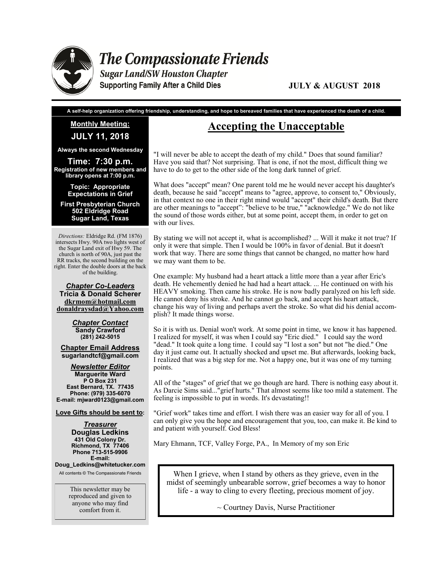

**The Compassionate Friends** 

**Sugar Land/SW Houston Chapter Supporting Family After a Child Dies** 

#### **JULY & AUGUST 2018**

**A self-help organization offering friendship, understanding, and hope to bereaved families that have experienced the death of a child.**

### **Monthly Meeting: JULY 11, 2018**

**Always the second Wednesday**

**Time: 7:30 p.m. Registration of new members and library opens at 7:00 p.m.** 

> **Topic: Appropriate Expectations in Grief**

**First Presbyterian Church 502 Eldridge Road Sugar Land, Texas**

*Directions:* Eldridge Rd. (FM 1876) intersects Hwy. 90A two lights west of the Sugar Land exit of Hwy 59. The church is north of 90A, just past the RR tracks, the second building on the right. Enter the double doors at the back of the building.

*Chapter Co-Leaders* **Tricia & Donald Scherer dkrmom@hotmail.com donaldraysdad@Yahoo.com**

> *Chapter Contact* **Sandy Crawford (281) 242-5015**

**Chapter Email Address sugarlandtcf@gmail.com**

*Newsletter Editor* **Marguerite Ward P O Box 231 East Bernard, TX. 77435 Phone: (979) 335-6070 E-mail: mjward0123@gmail.com**

**Love Gifts should be sent to:**

*Treasurer* **Douglas Ledkins 431 Old Colony Dr. Richmond, TX 77406 Phone 713-515-9906 E-mail:** 

**Doug\_Ledkins@whitetucker.com** All contents © The Compassionate Friends

> This newsletter may be reproduced and given to anyone who may find comfort from it.

## **Accepting the Unacceptable**

"I will never be able to accept the death of my child." Does that sound familiar? Have you said that? Not surprising. That is one, if not the most, difficult thing we have to do to get to the other side of the long dark tunnel of grief.

What does "accept" mean? One parent told me he would never accept his daughter's death, because he said "accept" means to "agree, approve, to consent to," Obviously, in that context no one in their right mind would "accept" their child's death. But there are other meanings to "accept": "believe to be true," "acknowledge." We do not like the sound of those words either, but at some point, accept them, in order to get on with our lives.

By stating we will not accept it, what is accomplished? ... Will it make it not true? If only it were that simple. Then I would be 100% in favor of denial. But it doesn't work that way. There are some things that cannot be changed, no matter how hard we may want them to be.

One example: My husband had a heart attack a little more than a year after Eric's death. He vehemently denied he had had a heart attack. ... He continued on with his HEAVY smoking. Then came his stroke. He is now badly paralyzed on his left side. He cannot deny his stroke. And he cannot go back, and accept his heart attack, change his way of living and perhaps avert the stroke. So what did his denial accomplish? It made things worse.

So it is with us. Denial won't work. At some point in time, we know it has happened. I realized for myself, it was when I could say "Eric died." I could say the word "dead." It took quite a long time. I could say "I lost a son" but not "he died." One day it just came out. It actually shocked and upset me. But afterwards, looking back, I realized that was a big step for me. Not a happy one, but it was one of my turning points.

All of the "stages" of grief that we go though are hard. There is nothing easy about it. As Darcie Sims said..."grief hurts." That almost seems like too mild a statement. The feeling is impossible to put in words. It's devastating!!

"Grief work" takes time and effort. I wish there was an easier way for all of you. I can only give you the hope and encouragement that you, too, can make it. Be kind to and patient with yourself. God Bless!

Mary Ehmann, TCF, Valley Forge, PA., In Memory of my son Eric

When I grieve, when I stand by others as they grieve, even in the midst of seemingly unbearable sorrow, grief becomes a way to honor life - a way to cling to every fleeting, precious moment of joy.

 $\sim$  Courtney Davis, Nurse Practitioner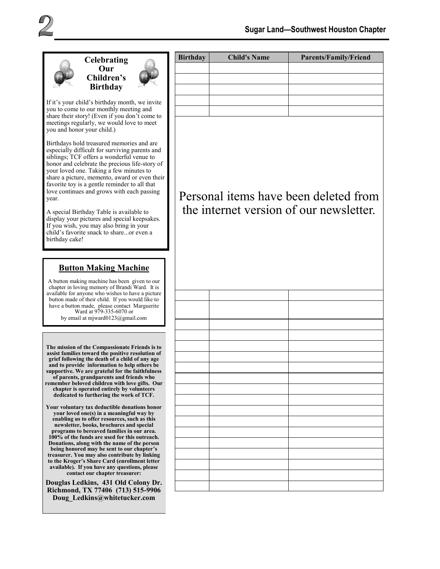



If it's your child's birthday month, we invite you to come to our monthly meeting and share their story! (Even if you don't come to meetings regularly, we would love to meet you and honor your child.)

Birthdays hold treasured memories and are especially difficult for surviving parents and siblings; TCF offers a wonderful venue to honor and celebrate the precious life-story of your loved one. Taking a few minutes to share a picture, memento, award or even their favorite toy is a gentle reminder to all that love continues and grows with each passing year.

A special Birthday Table is available to display your pictures and special keepsakes. If you wish, you may also bring in your child's favorite snack to share...or even a birthday cake!

#### **Button Making Machine**

A button making machine has been given to our chapter in loving memory of Brandi Ward. It is available for anyone who wishes to have a picture button made of their child. If you would like to have a button made, please contact Marguerite Ward at 979-335-6070 or by email at mjward0123@gmail.com

**The mission of the Compassionate Friends is to assist families toward the positive resolution of grief following the death of a child of any age and to provide information to help others be supportive. We are grateful for the faithfulness of parents, grandparents and friends who remember beloved children with love gifts. Our chapter is operated entirely by volunteers dedicated to furthering the work of TCF.** 

**Your voluntary tax deductible donations honor your loved one(s) in a meaningful way by enabling us to offer resources, such as this newsletter, books, brochures and special programs to bereaved families in our area. 100% of the funds are used for this outreach. Donations, along with the name of the person being honored may be sent to our chapter's treasurer. You may also contribute by linking to the Kroger's Share Card (enrollment letter available). If you have any questions, please contact our chapter treasurer:** 

**Douglas Ledkins, 431 Old Colony Dr. Richmond, TX 77406 (713) 515-9906 Doug\_Ledkins@whitetucker.com**

| <b>Birthday</b> | <b>Child's Name</b> | <b>Parents/Family/Friend</b> |
|-----------------|---------------------|------------------------------|
|                 |                     |                              |
|                 |                     |                              |
|                 |                     |                              |
|                 |                     |                              |
|                 |                     |                              |

# Personal items have been deleted from the internet version of our newsletter.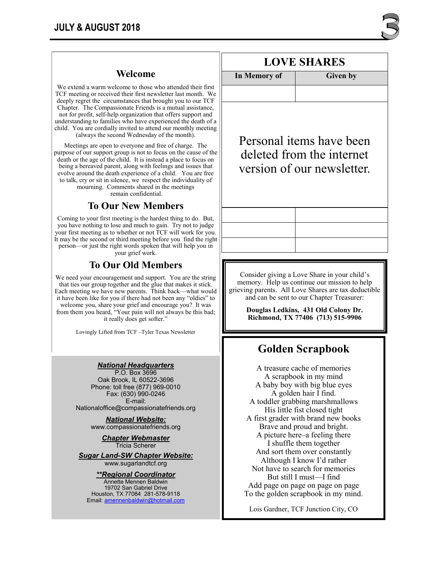### **Welcome**

We extend a warm welcome to those who attended their first TCF meeting or received their first newsletter last month. We deeply regret the circumstances that brought you to our TCF Chapter. The Compassionate Friends is a mutual assistance, not for profit, self-help organization that offers support and understanding to families who have experienced the death of a child. You are cordially invited to attend our monthly meeting (always the second Wednesday of the month).

Meetings are open to everyone and free of charge. The purpose of our support group is not to focus on the cause of the death or the age of the child. It is instead a place to focus on being a bereaved parent, along with feelings and issues that evolve around the death experience of a child. You are free to talk, cry or sit in silence, we respect the individuality of mourning. Comments shared in the meetings remain confidential.

### **To Our New Members**

Coming to your first meeting is the hardest thing to do. But, you have nothing to lose and much to gain. Try not to judge your first meeting as to whether or not TCF will work for you. It may be the second or third meeting before you find the right person—or just the right words spoken that will help you in your grief work.

### **To Our Old Members**

We need your encouragement and support. You are the string that ties our group together and the glue that makes it stick. Each meeting we have new parents. Think back—what would it have been like for you if there had not been any "oldies" to welcome you, share your grief and encourage you? It was from them you heard, "Your pain will not always be this bad; it really does get softer."

Lovingly Lifted from TCF –Tyler Texas Newsletter

#### *National Headquarters*

P.O. Box 3696 Oak Brook, IL 60522-3696 Phone: toll free (877) 969-0010 Fax: (630) 990-0246 E-mail: Nationaloffice@compassionatefriends.org

*National Website:*  www.compassionatefriends.org

> *Chapter Webmaster* Tricia Scherer

*Sugar Land-SW Chapter Website:* www.sugarlandtcf.org

*\*\*Regional Coordinator*

Annette Mennen Baldwin 19702 San Gabriel Drive Houston, TX 77084 281-578-9118 Email: [amennenbaldwin@hotmail.com](mailto:Emaamennenbaldwin@hotmail.com)

# **LOVE SHARES**

**In Memory of** Given by

Personal items have been deleted from the internet version of our newsletter.

Consider giving a Love Share in your child's memory. Help us continue our mission to help grieving parents. All Love Shares are tax deductible and can be sent to our Chapter Treasurer:

> **Douglas Ledkins, 431 Old Colony Dr. Richmond, TX 77406 (713) 515-9906**

## **Golden Scrapbook**

A treasure cache of memories A scrapbook in my mind A baby boy with big blue eyes A golden hair I find. A toddler grabbing marshmallows His little fist closed tight A first grader with brand new books Brave and proud and bright. A picture here–a feeling there I shuffle them together And sort them over constantly Although I know I'd rather Not have to search for memories But still I must—I find Add page on page on page on page To the golden scrapbook in my mind.

Lois Gardner, TCF Junction City, CO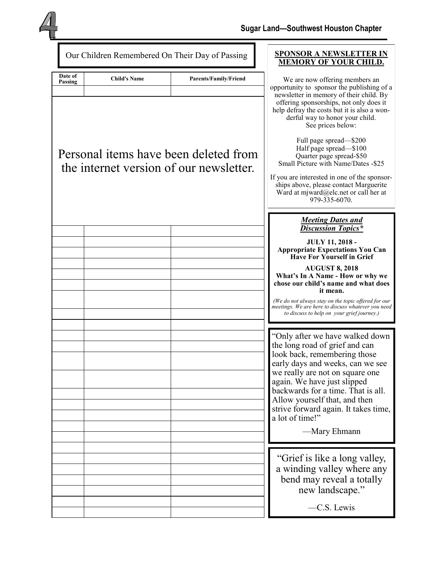

| Our Children Remembered On Their Day of Passing |                                                                                  |                                                                                                                                                                                                                                                                                                                                                                                                                                                                      | <b>SPONSOR A NEWSLETTER IN</b><br><b>MEMORY OF YOUR CHILD.</b>                                                                                                                                                                                                                                                                                                                                                        |
|-------------------------------------------------|----------------------------------------------------------------------------------|----------------------------------------------------------------------------------------------------------------------------------------------------------------------------------------------------------------------------------------------------------------------------------------------------------------------------------------------------------------------------------------------------------------------------------------------------------------------|-----------------------------------------------------------------------------------------------------------------------------------------------------------------------------------------------------------------------------------------------------------------------------------------------------------------------------------------------------------------------------------------------------------------------|
| Date of<br>Passing                              | <b>Child's Name</b>                                                              | <b>Parents/Family/Friend</b>                                                                                                                                                                                                                                                                                                                                                                                                                                         | We are now offering members an<br>opportunity to sponsor the publishing of a                                                                                                                                                                                                                                                                                                                                          |
|                                                 | Personal items have been deleted from<br>the internet version of our newsletter. | newsletter in memory of their child. By<br>offering sponsorships, not only does it<br>help defray the costs but it is also a won-<br>derful way to honor your child.<br>See prices below:<br>Full page spread-\$200<br>Half page spread-\$100<br>Quarter page spread-\$50<br>Small Picture with Name/Dates -\$25<br>If you are interested in one of the sponsor-<br>ships above, please contact Marguerite<br>Ward at mjward@elc.net or call her at<br>979-335-6070. |                                                                                                                                                                                                                                                                                                                                                                                                                       |
|                                                 |                                                                                  |                                                                                                                                                                                                                                                                                                                                                                                                                                                                      | <b>Meeting Dates and</b><br><b>Discussion Topics*</b>                                                                                                                                                                                                                                                                                                                                                                 |
|                                                 |                                                                                  |                                                                                                                                                                                                                                                                                                                                                                                                                                                                      | <b>JULY 11, 2018 -</b><br><b>Appropriate Expectations You Can</b><br><b>Have For Yourself in Grief</b><br><b>AUGUST 8, 2018</b><br>What's In A Name - How or why we<br>chose our child's name and what does<br>it mean.<br>(We do not always stay on the topic offered for our<br>meetings. We are here to discuss whatever you need<br>to discuss to help on your grief journey.)<br>"Only after we have walked down |
|                                                 |                                                                                  |                                                                                                                                                                                                                                                                                                                                                                                                                                                                      | the long road of grief and can<br>look back, remembering those<br>early days and weeks, can we see<br>we really are not on square one<br>again. We have just slipped<br>backwards for a time. That is all.<br>Allow yourself that, and then<br>strive forward again. It takes time,<br>a lot of time!"<br>—Mary Ehmann                                                                                                |
|                                                 |                                                                                  |                                                                                                                                                                                                                                                                                                                                                                                                                                                                      | "Grief is like a long valley,<br>a winding valley where any<br>bend may reveal a totally<br>new landscape."<br>-C.S. Lewis                                                                                                                                                                                                                                                                                            |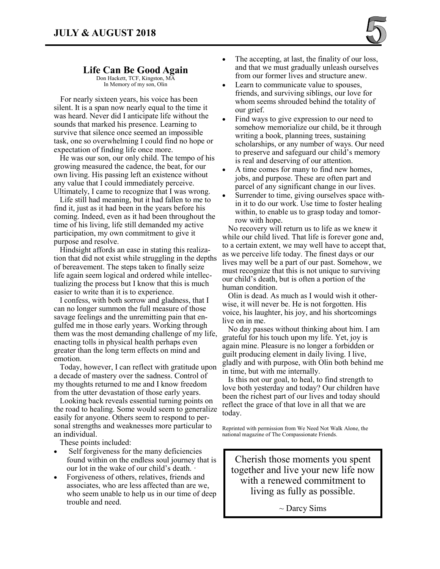

### **Life Can Be Good Again**

Don Hackett, TCF, Kingston, MA In Memory of my son, Olin

 For nearly sixteen years, his voice has been silent. It is a span now nearly equal to the time it was heard. Never did I anticipate life without the sounds that marked his presence. Learning to survive that silence once seemed an impossible task, one so overwhelming I could find no hope or expectation of finding life once more.

 He was our son, our only child. The tempo of his growing measured the cadence, the beat, for our own living. His passing left an existence without any value that I could immediately perceive. Ultimately, I came to recognize that I was wrong.

 Life still had meaning, but it had fallen to me to find it, just as it had been in the years before his coming. Indeed, even as it had been throughout the time of his living, life still demanded my active participation, my own commitment to give it purpose and resolve.

 Hindsight affords an ease in stating this realization that did not exist while struggling in the depths of bereavement. The steps taken to finally seize life again seem logical and ordered while intellectualizing the process but I know that this is much easier to write than it is to experience.

 I confess, with both sorrow and gladness, that I can no longer summon the full measure of those savage feelings and the unremitting pain that engulfed me in those early years. Working through them was the most demanding challenge of my life, enacting tolls in physical health perhaps even greater than the long term effects on mind and emotion.

 Today, however, I can reflect with gratitude upon a decade of mastery over the sadness. Control of my thoughts returned to me and I know freedom from the utter devastation of those early years.

 Looking back reveals essential turning points on the road to healing. Some would seem to generalize easily for anyone. Others seem to respond to personal strengths and weaknesses more particular to an individual.

These points included:

- Self forgiveness for the many deficiencies found within on the endless soul journey that is our lot in the wake of our child's death. ·
- Forgiveness of others, relatives, friends and associates, who are less affected than are we, who seem unable to help us in our time of deep trouble and need.
- The accepting, at last, the finality of our loss, and that we must gradually unleash ourselves from our former lives and structure anew.
- Learn to communicate value to spouses. friends, and surviving siblings, our love for whom seems shrouded behind the totality of our grief.
- Find ways to give expression to our need to somehow memorialize our child, be it through writing a book, planning trees, sustaining scholarships, or any number of ways. Our need to preserve and safeguard our child's memory is real and deserving of our attention.
- A time comes for many to find new homes, jobs, and purpose. These are often part and parcel of any significant change in our lives.
- Surrender to time, giving ourselves space within it to do our work. Use time to foster healing within, to enable us to grasp today and tomorrow with hope.

 No recovery will return us to life as we knew it while our child lived. That life is forever gone and, to a certain extent, we may well have to accept that, as we perceive life today. The finest days or our lives may well be a part of our past. Somehow, we must recognize that this is not unique to surviving our child's death, but is often a portion of the human condition.

 Olin is dead. As much as I would wish it otherwise, it will never be. He is not forgotten. His voice, his laughter, his joy, and his shortcomings live on in me.

 No day passes without thinking about him. I am grateful for his touch upon my life. Yet, joy is again mine. Pleasure is no longer a forbidden or guilt producing element in daily living. I live, gladly and with purpose, with Olin both behind me in time, but with me internally.

 Is this not our goal, to heal, to find strength to love both yesterday and today? Our children have been the richest part of our lives and today should reflect the grace of that love in all that we are today.

Reprinted with permission from We Need Not Walk Alone, the national magazine of The Compassionate Friends.

Cherish those moments you spent together and live your new life now with a renewed commitment to living as fully as possible.

 $\sim$  Darcy Sims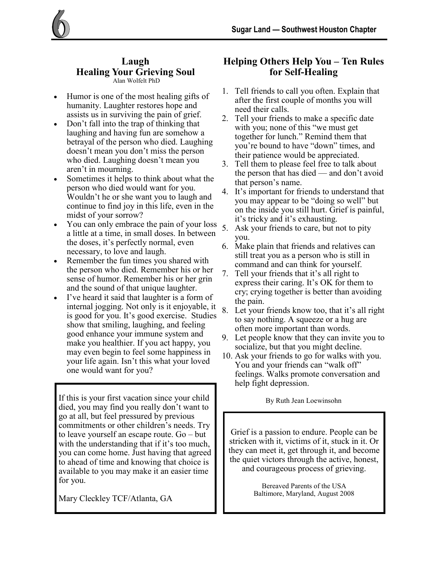#### **Laugh Healing Your Grieving Soul** Alan Wolfelt PhD

- Humor is one of the most healing gifts of humanity. Laughter restores hope and assists us in surviving the pain of grief.
- Don't fall into the trap of thinking that laughing and having fun are somehow a betrayal of the person who died. Laughing doesn't mean you don't miss the person who died. Laughing doesn't mean you aren't in mourning.
- Sometimes it helps to think about what the person who died would want for you. Wouldn't he or she want you to laugh and continue to find joy in this life, even in the midst of your sorrow?
- You can only embrace the pain of your loss a little at a time, in small doses. In between the doses, it's perfectly normal, even necessary, to love and laugh.
- Remember the fun times you shared with the person who died. Remember his or her sense of humor. Remember his or her grin and the sound of that unique laughter.
- I've heard it said that laughter is a form of internal jogging. Not only is it enjoyable, it is good for you. It's good exercise. Studies show that smiling, laughing, and feeling good enhance your immune system and make you healthier. If you act happy, you may even begin to feel some happiness in your life again. Isn't this what your loved one would want for you?

If this is your first vacation since your child By Ruth Jean Loewinsohn died, you may find you really don't want to go at all, but feel pressured by previous commitments or other children's needs. Try to leave yourself an escape route. Go – but with the understanding that if it's too much, you can come home. Just having that agreed to ahead of time and knowing that choice is available to you may make it an easier time for you.

Mary Cleckley TCF/Atlanta, GA

### **Helping Others Help You – Ten Rules for Self-Healing**

- 1. Tell friends to call you often. Explain that after the first couple of months you will need their calls.
- 2. Tell your friends to make a specific date with you; none of this "we must get together for lunch." Remind them that you're bound to have "down" times, and their patience would be appreciated.
- 3. Tell them to please feel free to talk about the person that has died — and don't avoid that person's name.
- 4. It's important for friends to understand that you may appear to be "doing so well" but on the inside you still hurt. Grief is painful, it's tricky and it's exhausting.
- 5. Ask your friends to care, but not to pity you.
- 6. Make plain that friends and relatives can still treat you as a person who is still in command and can think for yourself.
- 7. Tell your friends that it's all right to express their caring. It's OK for them to cry; crying together is better than avoiding the pain.
- 8. Let your friends know too, that it's all right to say nothing. A squeeze or a hug are often more important than words.
- 9. Let people know that they can invite you to socialize, but that you might decline.
- 10. Ask your friends to go for walks with you. You and your friends can "walk off" feelings. Walks promote conversation and help fight depression.

Grief is a passion to endure. People can be stricken with it, victims of it, stuck in it. Or they can meet it, get through it, and become the quiet victors through the active, honest, and courageous process of grieving.

> Bereaved Parents of the USA Baltimore, Maryland, August 2008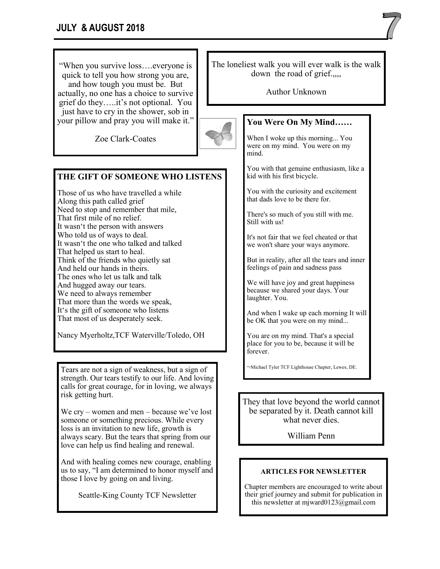"When you survive loss….everyone is quick to tell you how strong you are, and how tough you must be. But actually, no one has a choice to survive grief do they…..it's not optional. You just have to cry in the shower, sob in your pillow and pray you will make it."

Zoe Clark-Coates

### **THE GIFT OF SOMEONE WHO LISTENS**

Those of us who have travelled a while Along this path called grief Need to stop and remember that mile, That first mile of no relief. It wasn't the person with answers Who told us of ways to deal. It wasn't the one who talked and talked That helped us start to heal. Think of the friends who quietly sat And held our hands in theirs. The ones who let us talk and talk And hugged away our tears. We need to always remember That more than the words we speak, It's the gift of someone who listens That most of us desperately seek.

Nancy Myerholtz,TCF Waterville/Toledo, OH

Tears are not a sign of weakness, but a sign of strength. Our tears testify to our life. And loving calls for great courage, for in loving, we always risk getting hurt.

We cry – women and men – because we've lost someone or something precious. While every loss is an invitation to new life, growth is always scary. But the tears that spring from our love can help us find healing and renewal.

And with healing comes new courage, enabling us to say, "I am determined to honor myself and those I love by going on and living.

Seattle-King County TCF Newsletter

The loneliest walk you will ever walk is the walk down the road of grief.,,,,

Author Unknown



# **You Were On My Mind……**

When I woke up this morning... You were on my mind. You were on my mind.

You with that genuine enthusiasm, like a kid with his first bicycle.

You with the curiosity and excitement that dads love to be there for.

There's so much of you still with me. Still with us!

It's not fair that we feel cheated or that we won't share your ways anymore.

But in reality, after all the tears and inner feelings of pain and sadness pass

We will have joy and great happiness because we shared your days. Your laughter. You.

And when I wake up each morning It will be OK that you were on my mind...

You are on my mind. That's a special place for you to be, because it will be forever.

~Michael Tyler TCF Lighthouse Chapter, Lewes, DE.

They that love beyond the world cannot be separated by it. Death cannot kill what never dies.

William Penn

### **ARTICLES FOR NEWSLETTER**

Chapter members are encouraged to write about their grief journey and submit for publication in this newsletter at mjward0123@gmail.com